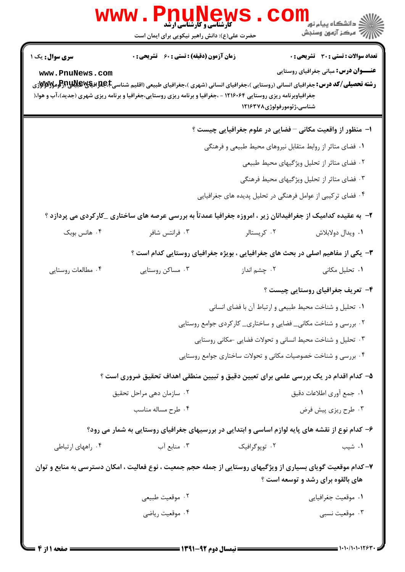|                                                                                                 | <b>PNUNEW:</b><br><b>WWW</b><br><b>5 کارشناسی و کارشناسی ارشد</b><br>حضرت علی(ع): دانش راهبر نیکویی برای ایمان است                                                                                                                                                                                    |                                                                | ڪ دانشڪاه پيا <sub>م</sub> نور<br>ا∛ مرکز آزمون وسنڊش                                                                                                                                                                                                                                                     |  |  |
|-------------------------------------------------------------------------------------------------|-------------------------------------------------------------------------------------------------------------------------------------------------------------------------------------------------------------------------------------------------------------------------------------------------------|----------------------------------------------------------------|-----------------------------------------------------------------------------------------------------------------------------------------------------------------------------------------------------------------------------------------------------------------------------------------------------------|--|--|
| سری سوال: یک ۱<br>www.PnuNews.com                                                               | <b>زمان آزمون (دقیقه) : تستی : 60 ٪ تشریحی : 0</b><br><b>رشته تحصیلی/کد درس:</b> جغرافیای انسانی (روستایی )،جغرافیای انسانی (شهری )،جغرافیای طبیعی (اقلیم شناسیCبهایاتیالاتیاللا<br>جغرافیاوبرنامه ریزی روستایی ۱۲۱۶۰۶۴ - ،جغرافیا و برنامه ریزی روستایی،جغرافیا و برنامه ریزی شهری (جدید)،آب و هوا،( | شناسى،ژئومورفولوژى1۲۱۶۳۷۸                                      | <b>تعداد سوالات : تستی : 30 ٪ تشریحی : 0</b><br><b>عنـــوان درس:</b> مبانی جغرافیای روستایی                                                                                                                                                                                                               |  |  |
|                                                                                                 |                                                                                                                                                                                                                                                                                                       | ا– منظور از واقعیت مکانی – فضایی در علوم جغرافیایی چیست ؟      |                                                                                                                                                                                                                                                                                                           |  |  |
|                                                                                                 |                                                                                                                                                                                                                                                                                                       | ۰۱ فضای متاثر از روابط متقابل نیروهای محیط طبیعی و فرهنگی      |                                                                                                                                                                                                                                                                                                           |  |  |
|                                                                                                 | ۰۲ فضای متاثر از تحلیل ویژگیهای محیط طبیعی                                                                                                                                                                                                                                                            |                                                                |                                                                                                                                                                                                                                                                                                           |  |  |
|                                                                                                 | ۰۳ فضای متاثر از تحلیل ویژگیهای محیط فرهنگی<br>۰۴ فضای ترکیبی از عوامل فرهنگی در تحلیل پدیده های جغرافیایی                                                                                                                                                                                            |                                                                |                                                                                                                                                                                                                                                                                                           |  |  |
|                                                                                                 |                                                                                                                                                                                                                                                                                                       |                                                                |                                                                                                                                                                                                                                                                                                           |  |  |
|                                                                                                 | ۲- به عقیده کدامیک از جغرافیدانان زیر ، امروزه جغرافیا عمدتأ به بررسی عرصه های ساختاری _کارکردی می پردازد ؟                                                                                                                                                                                           |                                                                |                                                                                                                                                                                                                                                                                                           |  |  |
| ۰۴ هانس بوبک                                                                                    | ۰۳ فرانتس شافر                                                                                                                                                                                                                                                                                        | ۰۲ کریستالر                                                    | ٠١. ويدال دولابلاش                                                                                                                                                                                                                                                                                        |  |  |
|                                                                                                 | ۳- یکی از مفاهیم اصلی در بحث های جغرافیایی ، بویژه جغرافیای روستایی کدام است ؟                                                                                                                                                                                                                        |                                                                |                                                                                                                                                                                                                                                                                                           |  |  |
| ۰۴ مطالعات روستايي                                                                              | ۰۳ مساکن روستایی                                                                                                                                                                                                                                                                                      | ۰۲ چشم انداز                                                   | ۰۱ تحلیل مکانی                                                                                                                                                                                                                                                                                            |  |  |
|                                                                                                 |                                                                                                                                                                                                                                                                                                       |                                                                | ۴- تعریف جغرافیای روستایی چیست ؟                                                                                                                                                                                                                                                                          |  |  |
|                                                                                                 | ۰۱ تحلیل و شناخت محیط طبیعی و ارتباط آن با فضای انسانی                                                                                                                                                                                                                                                |                                                                |                                                                                                                                                                                                                                                                                                           |  |  |
|                                                                                                 |                                                                                                                                                                                                                                                                                                       | ۰۲ بررسی و شناخت مکانی_ فضایی و ساختاری_ کارکردی جوامع روستایی |                                                                                                                                                                                                                                                                                                           |  |  |
|                                                                                                 |                                                                                                                                                                                                                                                                                                       | ۰۳ تحلیل و شناخت محیط انسانی و تحولات فضایی -مکانی روستایی     |                                                                                                                                                                                                                                                                                                           |  |  |
|                                                                                                 | ۰۴ بررسی و شناخت خصوصیات مکانی و تحولات ساختاری جوامع روستایی                                                                                                                                                                                                                                         |                                                                |                                                                                                                                                                                                                                                                                                           |  |  |
|                                                                                                 | ۵– کدام اقدام در یک بررسی علمی برای تعیین دقیق و تبیین منطقی اهداف تحقیق ضروری است ؟                                                                                                                                                                                                                  |                                                                |                                                                                                                                                                                                                                                                                                           |  |  |
|                                                                                                 | ۰۲ سازمان دهی مراحل تحقیق                                                                                                                                                                                                                                                                             | ٠١ جمع أورى اطلاعات دقيق                                       |                                                                                                                                                                                                                                                                                                           |  |  |
|                                                                                                 | ۰۴ طرح مساله مناسب                                                                                                                                                                                                                                                                                    |                                                                | ۰۳ طرح ریزی پیش فرض                                                                                                                                                                                                                                                                                       |  |  |
| ۶- کدام نوع از نقشه های پایه لوازم اساسی و ابتدایی در بررسیهای جغرافیای روستایی به شمار می رود؟ |                                                                                                                                                                                                                                                                                                       |                                                                |                                                                                                                                                                                                                                                                                                           |  |  |
| ۰۴ راههای ارتباطی                                                                               | ۰۳ منابع آب                                                                                                                                                                                                                                                                                           | ۰۲ توپوگرافیک                                                  | ۰۱ شیب                                                                                                                                                                                                                                                                                                    |  |  |
|                                                                                                 | ۷–کدام موقعیت گویای بسیاری از ویژگیهای روستایی از جمله حجم جمعیت ، نوع فعالیت ، امکان دسترسی به منابع و توان                                                                                                                                                                                          |                                                                | های بالقوه برای رشد و توسعه است ؟                                                                                                                                                                                                                                                                         |  |  |
|                                                                                                 | ۰۲ موقعیت طبیعی                                                                                                                                                                                                                                                                                       |                                                                | ٠١ موقعيت جغرافيايي                                                                                                                                                                                                                                                                                       |  |  |
| ۰۴ موقعیت ریاضی                                                                                 |                                                                                                                                                                                                                                                                                                       |                                                                | ۰۳ موقعیت نسبی                                                                                                                                                                                                                                                                                            |  |  |
| <b>= صفحه 1 از 4 =</b>                                                                          |                                                                                                                                                                                                                                                                                                       |                                                                | $\frac{1}{2}$ ) $\frac{1}{2}$ ) $\frac{1}{2}$ ) $\frac{1}{2}$ ) $\frac{1}{2}$ ) $\frac{1}{2}$ ) $\frac{1}{2}$ ) $\frac{1}{2}$ ) $\frac{1}{2}$ ) $\frac{1}{2}$ ) $\frac{1}{2}$ ) $\frac{1}{2}$ ) $\frac{1}{2}$ ) $\frac{1}{2}$ ) $\frac{1}{2}$ ) $\frac{1}{2}$ ) $\frac{1}{2}$ ) $\frac{1}{2}$ ) $\frac{1$ |  |  |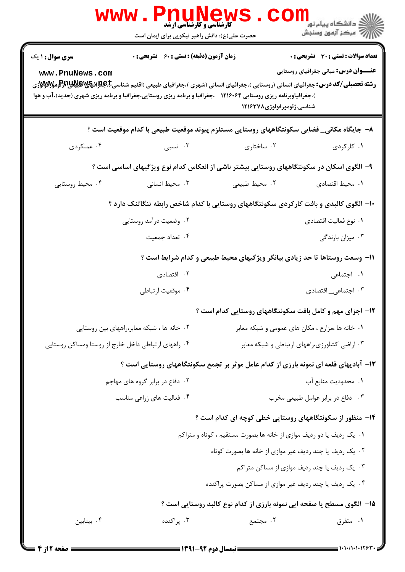|                                           | <b>WWW.PNUNEWS</b><br><b>کارشناسی و کارشناسی ارشد</b><br>حضرت علی(ع): دانش راهبر نیکویی برای ایمان است                                                                                                                                                                                                |                                                                                      | رانشگاه پيام نور <mark>− .</mark><br>ا∛ مرکز آزمون وسنجش                              |
|-------------------------------------------|-------------------------------------------------------------------------------------------------------------------------------------------------------------------------------------------------------------------------------------------------------------------------------------------------------|--------------------------------------------------------------------------------------|---------------------------------------------------------------------------------------|
| <b>سری سوال :</b> ۱ یک<br>www.PnuNews.com | <b>زمان آزمون (دقیقه) : تستی : 60 ٪ تشریحی : 0</b><br><b>رشته تحصیلی/کد درس:</b> جغرافیای انسانی (روستایی )،جغرافیای انسانی (شهری )،جغرافیای طبیعی (اقلیم شناسیCبهایاتیالاتیاللا<br>)،جغرافیاوبرنامه ریزی روستایی ۱۲۱۶۰۶۴ - ،جغرافیا و برنامه ریزی روستایی،جغرافیا و برنامه ریزی شهری (جدید)،آب و هوا | شناسي،ژئومورفولوژي۱۲۱۶۳۷۸                                                            | تعداد سوالات : تستي : 30 ٪ تشريحي : 0<br><b>عنــــوان درس:</b> مبانی جغرافیای روستایی |
|                                           | ۸−  جایگاه مکانی_ فضایی سکونتگاههای روستایی مستلزم پیوند موقعیت طبیعی با کدام موقعیت است ؟                                                                                                                                                                                                            |                                                                                      |                                                                                       |
| ۰۴ عملکردی                                | ۰۳ نسبی                                                                                                                                                                                                                                                                                               | ۰۲ ساختاری                                                                           | ۰۱ کارکردی                                                                            |
|                                           | ۹– الگوی اسکان در سکونتگاههای روستایی بیشتر ناشی از انعکاس کدام نوع ویژگیهای اساسی است ؟                                                                                                                                                                                                              |                                                                                      |                                                                                       |
| ۰۴ محیط روستایی                           | ۰۳ محیط انسانی                                                                                                                                                                                                                                                                                        | ٢. محيط طبيعي                                                                        | ٠١. محيط اقتصادى                                                                      |
|                                           | ۱۰- الگوی کالبدی و بافت کارکردی سکونتگاههای روستایی با کدام شاخص رابطه تنگاتنک دارد ؟                                                                                                                                                                                                                 |                                                                                      |                                                                                       |
|                                           | ۰۲ وضعیت درآمد روستایی                                                                                                                                                                                                                                                                                |                                                                                      | ٠١ نوع فعاليت اقتصادي                                                                 |
|                                           | ۰۴ تعداد جمعیت                                                                                                                                                                                                                                                                                        |                                                                                      | ۰۳ میزان بارندگی                                                                      |
|                                           |                                                                                                                                                                                                                                                                                                       | 1۱- وسعت روستاها تا حد زیادی بیانگر ویژگیهای محیط طبیعی و کدام شرایط است ؟           |                                                                                       |
|                                           | ۰۲ اقتصادی                                                                                                                                                                                                                                                                                            |                                                                                      | ۰۱ اجتماعی                                                                            |
|                                           | ۰۴ موقعیت ارتباطی                                                                                                                                                                                                                                                                                     |                                                                                      | ۰۳ اجتماعی_ اقتصادی                                                                   |
|                                           |                                                                                                                                                                                                                                                                                                       | ۱۲- اجزای مهم و کامل بافت سکونتگاههای روستایی کدام است ؟                             |                                                                                       |
|                                           | ۰۲ خانه ها ، شبکه معابر،راههای بین روستایی                                                                                                                                                                                                                                                            |                                                                                      | ۰۱ خانه ها ،مزارع ، مکان های عمومی و شبکه معابر                                       |
|                                           | ۰۴ راههای ارتباطی داخل خارج از روستا ومساکن روستایی                                                                                                                                                                                                                                                   |                                                                                      | ۰۳ اراضی کشاورزی،راههای ارتباطی و شبکه معابر                                          |
|                                           |                                                                                                                                                                                                                                                                                                       | ۱۳- آبادیهای قلعه ای نمونه بارزی از کدام عامل موثر بر تجمع سکونتگاههای روستایی است ؟ |                                                                                       |
|                                           | ۰۲ دفاع در برابر گروه های مهاجم                                                                                                                                                                                                                                                                       |                                                                                      | ٠١. محدوديت منابع آب                                                                  |
|                                           | ۰۴ فعالیت های زراعی مناسب                                                                                                                                                                                                                                                                             |                                                                                      | ۰۳ دفاع در برابر عوامل طبیعی مخرب                                                     |
|                                           |                                                                                                                                                                                                                                                                                                       | ۱۴– منظور از سکونتگاههای روستایی خطی کوچه ای کدام است ؟                              |                                                                                       |
|                                           |                                                                                                                                                                                                                                                                                                       | ۰۱ یک ردیف یا دو ردیف موازی از خانه ها بصورت مستقیم ، کوتاه و متراکم                 |                                                                                       |
|                                           |                                                                                                                                                                                                                                                                                                       | ۰۲ یک ردیف یا چند ردیف غیر موازی از خانه ها بصورت کوتاه                              |                                                                                       |
|                                           |                                                                                                                                                                                                                                                                                                       |                                                                                      | ۰۳ یک ردیف یا چند ردیف موازی از مساکن متراکم                                          |
|                                           |                                                                                                                                                                                                                                                                                                       | ۰۴ یک ردیف یا چند ردیف غیر موازی از مساکن بصورت پراکنده                              |                                                                                       |
|                                           |                                                                                                                                                                                                                                                                                                       | ۱۵– الگوی مسطح یا صفحه ایی نمونه بارزی از کدام نوع کالبد روستایی است ؟               |                                                                                       |
| ۰۴ بينابين                                | ۰۳ پراکنده                                                                                                                                                                                                                                                                                            | ۰۲ مجتمع                                                                             | ۰۱ متفرق                                                                              |
|                                           |                                                                                                                                                                                                                                                                                                       |                                                                                      |                                                                                       |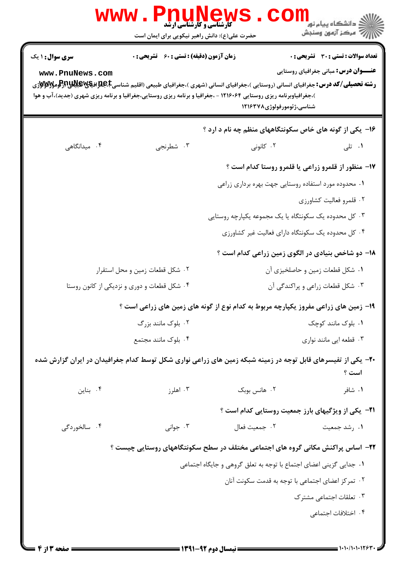|                                           | <b>WWW.Phur</b><br><b>کارشناسی و کارشناسی ارشد</b><br>حضرت علی(ع): دانش راهبر نیکویی برای ایمان است |                                                                                                                                                                                                                                                                               | ڪ دانشڪاه پيا <sub>م</sub> نور<br><mark>ر</mark> 7 مرڪز آزمون وسنڊش                         |
|-------------------------------------------|-----------------------------------------------------------------------------------------------------|-------------------------------------------------------------------------------------------------------------------------------------------------------------------------------------------------------------------------------------------------------------------------------|---------------------------------------------------------------------------------------------|
| <b>سری سوال : ۱ یک</b><br>www.PnuNews.com | <b>زمان آزمون (دقیقه) : تستی : 60 ٪ تشریحی : 0</b>                                                  | <b>رشته تحصیلی/کد درس:</b> جغرافیای انسانی (روستایی )،جغرافیای انسانی (شهری )،جغرافیای طبیعی (اقلیم شناسیCبهایاتیالاتیالوتر<br>)،جغرافیاوبرنامه ریزی روستایی ۱۲۱۶۰۶۴ - ،جغرافیا و برنامه ریزی روستایی،جغرافیا و برنامه ریزی شهری (جدید)،آب و هوا<br>شناسى،ژئومورفولوژى١٢١۶٣٧٨ | <b>تعداد سوالات : تستی : 30 ٪ تشریحی : 0</b><br><b>عنـــوان درس:</b> مبانی جغرافیای روستایی |
|                                           |                                                                                                     | ۱۶- یکی از گونه های خاص سکونتگاههای منظم چه نام د ارد ؟                                                                                                                                                                                                                       |                                                                                             |
| ۰۴ میدانگاهی                              | ۰۳ شطرنجي                                                                                           | ۰۲ کانونی                                                                                                                                                                                                                                                                     | ۰۱ تلی                                                                                      |
|                                           |                                                                                                     | ۱۷- منظور از قلمرو زراعی یا قلمرو روستا کدام است ؟                                                                                                                                                                                                                            |                                                                                             |
|                                           |                                                                                                     | ۰۱ محدوده مورد استفاده روستايي جهت بهره برداري زراعي                                                                                                                                                                                                                          |                                                                                             |
|                                           |                                                                                                     |                                                                                                                                                                                                                                                                               | ۰۲ قلمرو فعالیت کشاورزی                                                                     |
|                                           |                                                                                                     | ۰۳ کل محدوده یک سکونتگاه یا یک مجموعه یکپارچه روستایی                                                                                                                                                                                                                         |                                                                                             |
|                                           |                                                                                                     | ۰۴ کل محدوده یک سکونتگاه دارای فعالیت غیر کشاورزی                                                                                                                                                                                                                             |                                                                                             |
|                                           |                                                                                                     | 1۸– دو شاخص بنیادی در الگوی زمین زراعی کدام است ؟                                                                                                                                                                                                                             |                                                                                             |
|                                           | ۰۲ شکل قطعات زمین و محل استقرار                                                                     | ۰۱ شکل قطعات زمین و حاصلخیزی آن                                                                                                                                                                                                                                               |                                                                                             |
|                                           | ۰۴ شکل قطعات و دوری و نزدیکی از کانون روستا                                                         | ۰۳ شکل قطعات زراعی و پراکندگی آن                                                                                                                                                                                                                                              |                                                                                             |
|                                           |                                                                                                     | ۱۹- زمین های زراعی مفروز یکپارچه مربوط به کدام نوع از گونه های زمین های زراعی است ؟                                                                                                                                                                                           |                                                                                             |
|                                           | ۰۲ بلوک مانند بزرگ                                                                                  |                                                                                                                                                                                                                                                                               | ۰۱ بلوک مانند کوچک                                                                          |
| ۰۴ بلوک مانند مجتمع                       |                                                                                                     | ۰۳ قطعه ایی مانند نواری                                                                                                                                                                                                                                                       |                                                                                             |
|                                           |                                                                                                     | +۲- یکی از تفیسرهای قابل توجه در زمینه شبکه زمین های زراعی نواری شکل توسط کدام جغرافیدان در ایران گزارش شده                                                                                                                                                                   | است ؟                                                                                       |
| ۰۴ بناین                                  | ۰۳ اهلرز                                                                                            | ۰۲ هانس بوبک                                                                                                                                                                                                                                                                  | ۰۱ شافر                                                                                     |
|                                           |                                                                                                     | <b>۲۱</b> - یکی از ویژگیهای بارز جمعیت روستایی کدام است ؟                                                                                                                                                                                                                     |                                                                                             |
| ۰۴ سالخوردگی                              | ۰۳ جوانی                                                                                            | ٠٢ جمعيت فعال                                                                                                                                                                                                                                                                 | ۰۱ رشد جمعیت                                                                                |
|                                           |                                                                                                     | ۲۲- اساس پراکنش مکانی گروه های اجتماعی مختلف در سطح سکونتگاههای روستایی چیست ؟                                                                                                                                                                                                |                                                                                             |
|                                           |                                                                                                     | ٠١ جدايي گزيني اعضاي اجتماع با توجه به تعلق گروهي و جايگاه اجتماعي                                                                                                                                                                                                            |                                                                                             |
|                                           | ۰۲ تمرکز اعضای اجتماعی با توجه به قدمت سکونت آنان                                                   |                                                                                                                                                                                                                                                                               |                                                                                             |
|                                           |                                                                                                     |                                                                                                                                                                                                                                                                               | ۰۳ تعلقات اجتماعی مشترک                                                                     |
|                                           |                                                                                                     |                                                                                                                                                                                                                                                                               | ۰۴ اختلافات اجتماعي                                                                         |
|                                           |                                                                                                     |                                                                                                                                                                                                                                                                               |                                                                                             |
| <b>: صفحه ۱۳ از ۴</b>                     |                                                                                                     | = نیمسال دوم ۹۲-۱۳۹۱ =                                                                                                                                                                                                                                                        | = 1・1・/1・1・1263                                                                             |